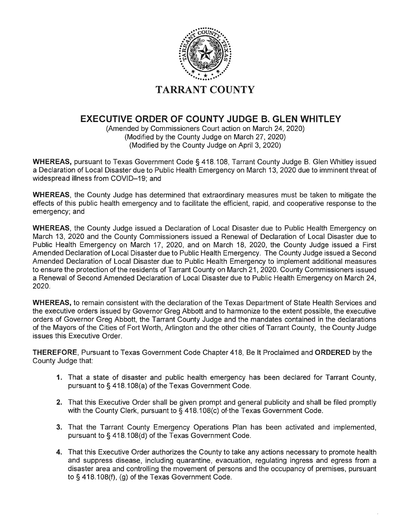

## **EXECUTIVE ORDER OF COUNTY JUDGE B. GLEN WHITLEY**

(Amended by Commissioners Court action on March 24, 2020) (Modified by the County Judge on March 27, 2020) (Modified by the County Judge on April 3, 2020)

**WHEREAS,** pursuant to Texas Government Code § 418.108, Tarrant County Judge B. Glen Whitley issued a Declaration of Local Disaster due to Public Health Emergency on March 13, 2020 due to imminent threat of widespread illness from COVID-19; and

**WHEREAS,** the County Judge has determined that extraordinary measures must be taken to mitigate the effects of this public health emergency and to facilitate the efficient, rapid, and cooperative response to the emergency; and

**WHEREAS,** the County Judge issued a Declaration of Local Disaster due to Public Health Emergency on March 13, 2020 and the County Commissioners issued a Renewal of Declaration of Local Disaster due to Public Health Emergency on March 17, 2020, and on March 18, 2020, the County Judge issued a First Amended Declaration of Local Disaster due to Public Health Emergency. The County Judge issued a Second Amended Declaration of Local Disaster due to Public Health Emergency to implement additional measures to ensure the protection of the residents of Tarrant County on March 21, 2020. County Commissioners issued a Renewal of Second Amended Declaration of Local Disaster due to Public Health Emergency on March 24, 2020.

**WHEREAS,** to remain consistent with the declaration of the Texas Department of State Health Services and the executive orders issued by Governor Greg Abbott and to harmonize to the extent possible, the executive orders of Governor Greg Abbott, the Tarrant County Judge and the mandates contained in the declarations of the Mayors of the Cities of Fort Worth, Arlington and the other cities of Tarrant County, the County Judge issues this Executive Order.

**THEREFORE,** Pursuant to Texas Government Code Chapter 418, Be It Proclaimed and **ORDERED** by the County Judge that:

- **1.** That a state of disaster and public health emergency has been declared for Tarrant County, pursuant to § 418.108(a) of the Texas Government Code.
- **2.** That this Executive Order shall be given prompt and general publicity and shall be filed promptly with the County Clerk, pursuant to§ 418.108(c) of-the Texas Government Code.
- **3.** That the Tarrant County Emergency Operations Plan has been activated and implemented, pursuant to § 418.108(d) of the Texas Government Code.
- **4.** That this Executive Order authorizes the County to take any actions necessary to promote health and suppress disease, including quarantine, evacuation, regulating ingress and egress from a disaster area and controlling the movement of persons and the occupancy of premises, pursuant to § 418.108{f), (g) of the Texas Government Code.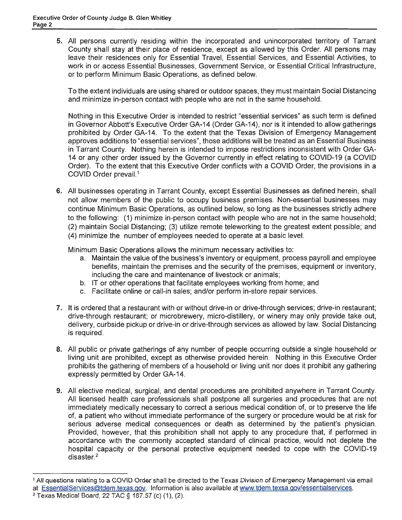**5.** All persons currently residing within the incorporated and unincorporated territory of Tarrant County shall stay at their place of residence, except as allowed by this Order. All persons may leave their residences only for Essential Travel, Essential Services, and Essential Activities, to work in or access Essential Businesses, Government Service, or Essential Critical Infrastructure, or to perform Minimum Basic Operations, as defined below.

To the extent individuals are using shared or outdoor spaces, they must maintain Social Distancing and minimize in-person contact with people who are not in the same household.

Nothing in this Executive Order is intended to restrict "essential services" as such term is defined in Governor Abbott's Executive Order GA-14 (Order GA-14), nor is it intended to allow gatherings prohibited by Order GA-14. To the extent that the Texas Division of Emergency Management approves additions to "essential services", those additions will be treated as an Essential Business in Tarrant County. Nothing herein is intended to impose restrictions inconsistent with Order GA-14 or any other order issued by the Governor currently in effect relating to COVID-19 (a COVID Order). To the extent that this Executive Order conflicts with a COVID Order, the provisions in a COVID Order prevail.<sup>1</sup>

6. All businesses operating in Tarrant County, except Essential Businesses as defined herein, shall not allow members of the public to occupy business premises. Non-essential businesses may continue Minimum Basic Operations, as outlined below, so long as the businesses strictly adhere to the following: (1) minimize in-person contact with people who are not in the same household; (2) maintain Social Distancing; (3) utilize remote teleworking to the greatest extent possible; and (4) minimize the number of employees needed to operate at a basic level.

Minimum Basic Operations allows the minimum necessary activities to:

- a. Maintain the value of the business's inventory or equipment, process payroll and employee benefits, maintain the premises and the security of the premises, equipment or inventory, including the care and maintenance of livestock or animals;
- b. IT or other operations that facilitate employees working from home; and
- c. Facilitate online or call-in sales; and/or perform in-store repair services.
- 7. It is ordered that a restaurant with or without drive-in or drive-through services; drive-in restaurant; drive-through restaurant; or microbrewery, micro-distillery, or winery may only provide take out, delivery, curbside pickup or drive-in or drive-through services as allowed by law. Social Distancing is required.
- 8. All public or private gatherings of any number of people occurring outside a single household or living unit are prohibited, except as otherwise provided herein. Nothing in this Executive Order prohibits the gathering of members of a household or living unit nor does it prohibit any gathering expressly permitted by Order GA-14.
- 9. All elective medical, surgical, and dental procedures are prohibited anywhere in Tarrant County. All licensed health care professionals shall postpone all surgeries and procedures that are not immediately medically necessary to correct a serious medical condition of, or to preserve the life of, a patient who without immediate performance of the surgery or procedure would be at risk for serious adverse medical consequences or death as determined by the patient's physician. Provided, however, that this prohibition shall not apply to any procedure that, if performed in accordance with the commonly accepted standard of clinical practice, would not deplete the hospital capacity or the personal protective equipment needed to cope with the COVID-19 disaster.<sup>2</sup>

<sup>&</sup>lt;sup>1</sup> All questions relating to a COVID Order shall be directed to the Texas Division of Emergency Management via email at EssentialServices@tdem.texas.gov. Information is also available at www.tdem.texsa.gov/essentialservices. 2 Texas Medical Board, 22 TAC§ 187.57 (c) (1), (2).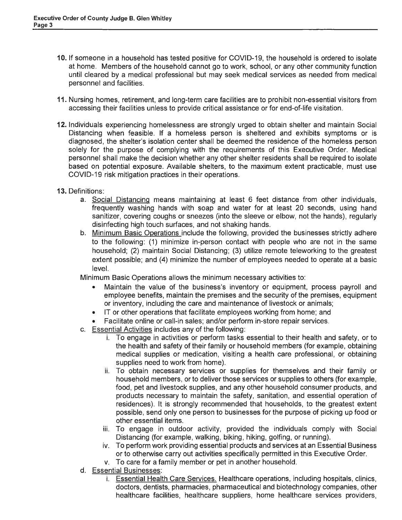- 10. If someone in a household has tested positive for COVID-19, the household is ordered to isolate at home. Members of the household cannot go to work, school, or any other community function until cleared by a medical professional but may seek medical services as needed from medical personnel and facilities.
- **11.** Nursing homes, retirement, and long-term care facilities are to prohibit non-essential visitors from accessing their facilities unless to provide critical assistance or for end-of-life visitation.
- **12.** Individuals experiencing homelessness are strongly urged to obtain shelter and maintain Social Distancing when feasible. If a homeless person is sheltered and exhibits symptoms or is diagnosed, the shelter's isolation center shall be deemed the residence of the homeless person solely for the purpose of complying with the requirements of this Executive Order. Medical personnel shall make the decision whether any other shelter residents shall be required to isolate based on potential exposure. Available shelters, to the maximum extent practicable, must use COVID-19 risk mitigation practices in their operations.
- **13.** Definitions:
	- a. Social Distancing means maintaining at least 6 feet distance from other individuals, frequently washing hands with soap and water for at least 20 seconds, using hand sanitizer, covering coughs or sneezes (into the sleeve or elbow, not the hands), regularly disinfecting high touch surfaces, and not shaking hands.
	- b. Minimum Basic Operations include the following, provided the businesses strictly adhere to the following: (1) minimize in-person contact with people who are not in the same household; (2) maintain Social Distancing; (3) utilize remote teleworking to the greatest extent possible; and (4) minimize the number of employees needed to operate at a basic level.

Minimum Basic Operations allows the minimum necessary activities to:

- Maintain the value of the business's inventory or equipment, process payroll and employee benefits, maintain the premises and the security of the premises, equipment or inventory, including the care and maintenance of livestock or animals;
- IT or other operations that facilitate employees working from home; and
- Facilitate online or call-in sales; and/or perform in-store repair services.
- c. Essential Activities includes any of the following:
	- i. To engage in activities or perform tasks essential to their health and safety, or to the health and safety of their family or household members (for example, obtaining medical supplies or medication, visiting a health care professional, or obtaining supplies need to work from home).
	- ii. To obtain necessary services or supplies for themselves and their family or household members, or to deliver those services or supplies to others (for example, food, pet and livestock supplies, and any other household consumer products, and products necessary to maintain the safety, sanitation, and essential operation of residences). It is strongly recommended that households, to the greatest extent possible, send only one person to businesses for the purpose of picking up food or other essential items.
	- iii. To engage in outdoor activity, provided the individuals comply with Social Distancing (for example, walking, biking, hiking, golfing, or running).
	- iv. To perform work providing essential products and services at an Essential Business or to otherwise carry out activities specifically permitted in this Executive Order.
	- v. To care for a family member or pet in another household.
- d. Essential Businesses:
	- i. Essential Health Care Services. Healthcare operations, including hospitals, clinics, doctors, dentists, pharmacies, pharmaceutical and biotechnology companies, other healthcare facilities, healthcare suppliers, home healthcare services providers,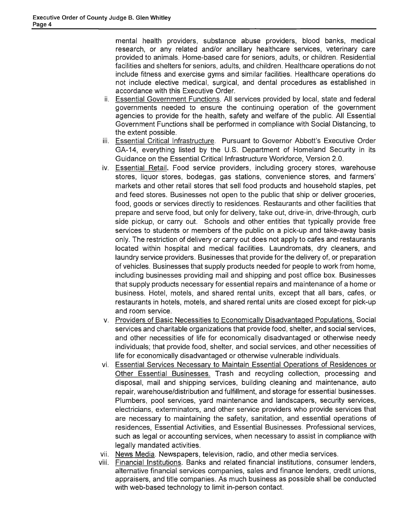mental health providers, substance abuse providers, blood banks, medical research, or any related and/or ancillary healthcare services, veterinary care provided to animals. Home-based care for seniors, adults, or children. Residential facilities and shelters for seniors, adults, and children. Healthcare operations do not include fitness and exercise gyms and similar facilities. Healthcare operations do not include elective medical, surgical, and dental procedures as established in accordance with this Executive Order.

- ii. Essential Government Functions. All services provided by local, state and federal governments needed to ensure the continuing operation of the government agencies to provide for the health, safety and welfare of the public. All Essential Government Functions shall be performed in compliance with Social Distancing, to the extent possible.
- iii. Essential Critical Infrastructure. Pursuant to Governor Abbott's Executive Order GA-14, everything listed by the U.S. Department of Homeland Security in its Guidance on the Essential Critical Infrastructure Workforce, Version 2.0.
- iv. **Essential Retail.** Food service providers, including grocery stores, warehouse stores, liquor stores, bodegas, gas stations, convenience stores, and farmers' markets and other retail stores that sell food products and household staples, pet and feed stores. Businesses not open to the public that ship or deliver groceries, food, goods or services directly to residences. Restaurants and other facilities that prepare and serve food, but only for delivery, take out, drive-in, drive-through, curb side pickup, or carry out. Schools and other entities that typically provide free services to students or members of the public on a pick-up and take-away basis only. The restriction of delivery or carry out does not apply to cafes and restaurants located within hospital and medical facilities. Laundromats, dry cleaners, and laundry service providers. Businesses that provide for the delivery of, or preparation of vehicles. Businesses that supply products needed for people to work from home, including businesses providing mail and shipping and post office box. Businesses that supply products necessary for essential repairs and maintenance of a home or business. Hotel, motels, and shared rental units, except that all bars, cafes, or restaurants in hotels, motels, and shared rental units are closed except for pick-up and room service.
- v. Providers of Basic Necessities to Economically Disadvantaged Populations. Social services and charitable organizations that provide food, shelter, and social services, and other necessities of life for economically disadvantaged or otherwise needy individuals; that provide food, shelter, and social services, and other necessities of life for economically disadvantaged or otherwise vulnerable individuals.
- vi. Essential Services Necessary to Maintain Essential Operations of Residences or Other Essential Businesses. Trash and recycling collection, processing and disposal, mail and shipping services, building cleaning and maintenance, auto repair, warehouse/distribution and fulfillment, and storage for essential businesses. Plumbers, pool services, yard maintenance and landscapers, security services, electricians, exterminators, and other service providers who provide services that are necessary to maintaining the safety, sanitation, and essential operations of residences, Essential Activities, and Essential Businesses. Professional services, such as legal or accounting services, when necessary to assist in compliance with legally mandated activities.
- vii. News Media. Newspapers, television, radio, and other media services.
- viii. Financial Institutions. Banks and related financial institutions, consumer lenders, alternative financial services companies, sales and finance lenders, credit unions, appraisers, and title companies. As much business as possible shall be conducted with web-based technology to limit in-person contact.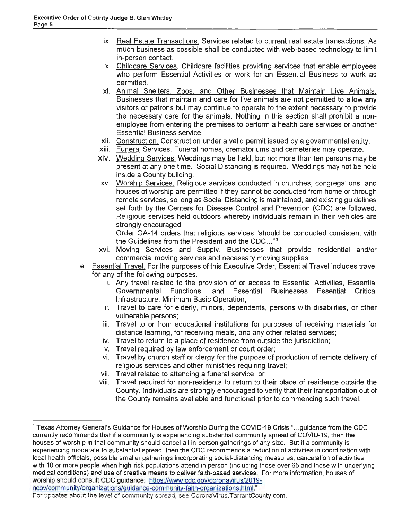- ix. Real Estate Transactions: Services related to current real estate transactions. As much business as possible shall be conducted with web-based technology to limit in-person contact.
- x. Childcare Services. Childcare facilities providing services that enable employees who perform Essential Activities or work for an Essential Business to work as permitted.
- xi. Animal Shelters, Zoos, and Other Businesses that Maintain Live Animals. Businesses that maintain and care for live animals are not permitted to allow any visitors or patrons but may continue to operate to the extent necessary to provide the necessary care for the animals. Nothing in this section shall prohibit a nonemployee from entering the premises to perform a health care services or another Essential Business service.
- xii. Construction. Construction under a valid permit issued by a governmental entity.
- **xiii.** Funeral Services. Funeral homes, crematoriums and cemeteries may operate.
- **xiv.** Wedding Services. Weddings may be held, but not more than ten persons may be present at any one time. Social Distancing is required. Weddings may not be held inside a County building.
- xv. Worship Services. Religious services conducted in churches, congregations, and houses of worship are permitted if they cannot be conducted from home or through remote services, so long as Social Distancing is maintained, and existing guidelines set forth by the Centers for Disease Control and Prevention (CDC) are followed. Religious services held outdoors whereby individuals remain in their vehicles are strongly encouraged.

Order GA-14 orders that religious services "should be conducted consistent with the Guidelines from the President and the CDC ... "3

- xvi. Moving Services and Supply. Businesses that provide residential and/or commercial moving services and necessary moving supplies.
- e. Essential Travel. For the purposes of this Executive Order, Essential Travel includes travel for any of the following purposes.
	- i. Any travel related to the provision of or access to Essential Activities, Essential Governmental Functions, and Essential Businesses Essential Critical Infrastructure, Minimum Basic Operation;
	- ii. Travel to care for elderly, minors, dependents, persons with disabilities, or other vulnerable persons;
	- iii. Travel to or from educational institutions for purposes of receiving materials for distance learning, for receiving meals, and any other related services;
	- iv. Travel to return to a place of residence from outside the jurisdiction;
	- v. Travel required by law enforcement or court order;
	- vi. Travel by church staff or clergy for the purpose of production of remote delivery of religious services and other ministries requiring travel;
	- vii. Travel related to attending a funeral service; or
	- viii. Travel required for non-residents to return to their place of residence outside the County. Individuals are strongly encouraged to verify that their transportation out of the County remains available and functional prior to commencing such travel.

ncov/community/organizations/guidance-community-faith-orqanizations.html."

<sup>&</sup>lt;sup>3</sup> Texas Attorney General's Guidance for Houses of Worship During the COVID-19 Crisis "...guidance from the CDC currently recommends that if a community is experiencing substantial community spread of COVID-19, then the houses of worship in that community should cancel all in-person gatherings of any size. But if a community is experiencing moderate to substantial spread, then the CDC recommends a reduction of activities in coordination with local health officials, possible smaller gatherings incorporating social-distancing measures, cancelation of activities with 10 or more people when high-risk populations attend in person (including those over 65 and those with underlying medical conditions) and use of creative means to deliver faith-based services. For more information, houses of worship should consult CDC guidance: https://www.cdc.gov/coronavirus/2019-

For updates about the level of community spread, see CoronaVirus.TarrantCounty.com.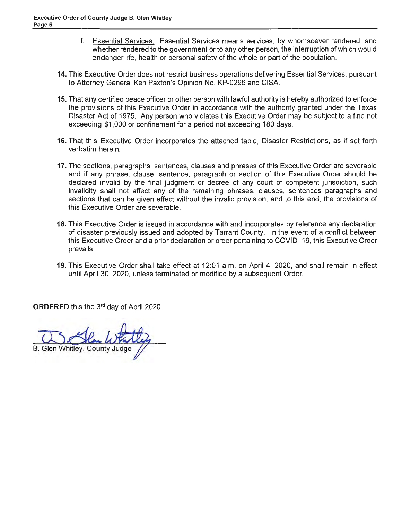- f. Essential Services. Essential Services means services, by whomsoever rendered, and whether rendered to the government or to any other person, the interruption of which would endanger life, health or personal safety of the whole or part of the population.
- **14.** This Executive Order does not restrict business operations delivering Essential Services, pursuant to Attorney General Ken Paxton's Opinion No. KP-0296 and CISA.
- **15.** That any certified peace officer or other person with lawful authority is hereby authorized to enforce the provisions of this Executive Order in accordance with the authority granted under the Texas Disaster Act of 1975. Any person who violates this Executive Order may be subject to a fine not exceeding \$1,000 or confinement for a period not exceeding 180 days.
- **16.** That this Executive Order incorporates the attached table, Disaster Restrictions, as if set forth verbatim herein.
- **17.** The sections, paragraphs, sentences, clauses and phrases of this Executive Order are severable and if any phrase, clause, sentence, paragraph or section of this Executive Order should be declared invalid by the final judgment or decree of any court of competent jurisdiction, such invalidity shall not affect any of the remaining phrases, clauses, sentences paragraphs and sections that can be given effect without the invalid provision, and to this end, the provisions of this Executive Order are severable.
- **18.** This Executive Order is issued in accordance with and incorporates by reference any declaration of disaster previously issued and adopted by Tarrant County. In the event of a conflict between this Executive Order and a prior declaration or order pertaining to COVID-19, this Executive Order prevails.
- **19.** This Executive Order shall take effect at 12:01 a.m. on April 4, 2020, and shall remain in effect until April 30, 2020, unless terminated or modified by a subsequent Order.

**ORDERED** this the 3rd day of April 2020.

B. Glen Whitley,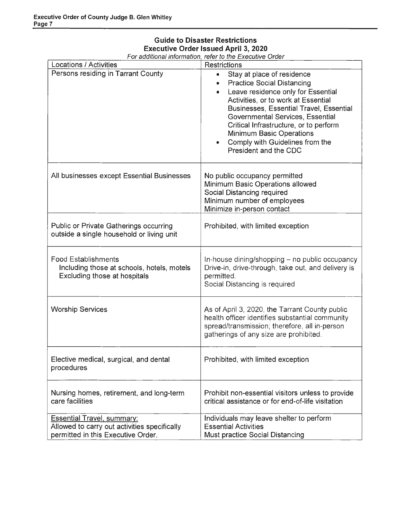## For additional information, refer to the Executive Order<br>
Locations / Activities Restrictions Persons residing in Tarrant County **•** Stay at place of residence • Practice Social Distancing • Leave residence only for Essential Activities, or to work at Essential Businesses, Essential Travel, Essential Governmental Services, Essential Critical Infrastructure, or to perform Minimum Basic Operations **Comply with Guidelines from the** President and the CDC All businesses except Essential Businesses | No public occupancy permitted Minimum Basic Operations allowed Social Distancing required Minimum number of employees Minimize in-person contact Public or Private Gatherings occurring Prohibited, with limited exception outside a single household or living unit Food Establishments **In-house dining/shopping - no public occupancy** Including those at schools, hotels, motels  $\Box$  Drive-in, drive-through, take out, and delivery is Excluding those at hospitals **permitted**. Social Distancing is required **Worship Services As of April 3, 2020, the Tarrant County public As of April 3, 2020, the Tarrant County public** health officer identifies substantial community spread/transmission; therefore, all in-person gatherings of any size are prohibited. Elective medical, surgical, and dental Prohibited, with limited exception **procedures**  Nursing homes, retirement, and long-term  $\vert$  Prohibit non-essential visitors unless to provide care facilities care facilities care care care care care facilities care or for end-of-life visitation Essential Travel, summary: Individuals may leave shelter to perform Allowed to carry out activities specifically Fundelly Essential Activities permitted in this Executive Order. **Must practice Social Distancing**

## **Guide to Disaster Restrictions Executive Order Issued April 3, 2020**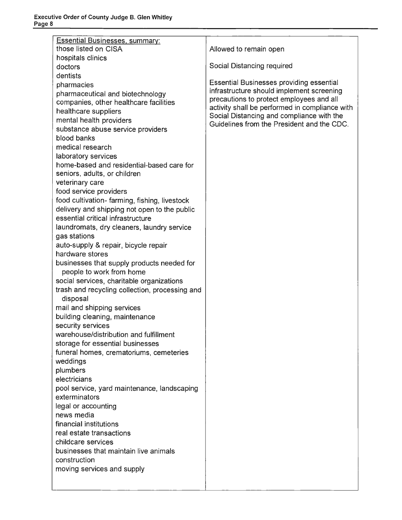| <b>Essential Businesses, summary:</b>          |                                                                                         |
|------------------------------------------------|-----------------------------------------------------------------------------------------|
| those listed on CISA                           | Allowed to remain open                                                                  |
| hospitals clinics                              |                                                                                         |
| doctors                                        | Social Distancing required                                                              |
| dentists                                       |                                                                                         |
| pharmacies                                     | <b>Essential Businesses providing essential</b>                                         |
| pharmaceutical and biotechnology               | infrastructure should implement screening                                               |
| companies, other healthcare facilities         | precautions to protect employees and all                                                |
| healthcare suppliers                           | activity shall be performed in compliance with                                          |
| mental health providers                        | Social Distancing and compliance with the<br>Guidelines from the President and the CDC. |
| substance abuse service providers              |                                                                                         |
| blood banks                                    |                                                                                         |
| medical research                               |                                                                                         |
| laboratory services                            |                                                                                         |
| home-based and residential-based care for      |                                                                                         |
| seniors, adults, or children                   |                                                                                         |
| veterinary care                                |                                                                                         |
| food service providers                         |                                                                                         |
| food cultivation-farming, fishing, livestock   |                                                                                         |
| delivery and shipping not open to the public   |                                                                                         |
| essential critical infrastructure              |                                                                                         |
| laundromats, dry cleaners, laundry service     |                                                                                         |
| gas stations                                   |                                                                                         |
| auto-supply & repair, bicycle repair           |                                                                                         |
| hardware stores                                |                                                                                         |
| businesses that supply products needed for     |                                                                                         |
| people to work from home                       |                                                                                         |
| social services, charitable organizations      |                                                                                         |
| trash and recycling collection, processing and |                                                                                         |
| disposal                                       |                                                                                         |
| mail and shipping services                     |                                                                                         |
| building cleaning, maintenance                 |                                                                                         |
| security services                              |                                                                                         |
| warehouse/distribution and fulfillment         |                                                                                         |
| storage for essential businesses               |                                                                                         |
| funeral homes, crematoriums, cemeteries        |                                                                                         |
| weddings                                       |                                                                                         |
| plumbers                                       |                                                                                         |
| electricians                                   |                                                                                         |
| pool service, yard maintenance, landscaping    |                                                                                         |
| exterminators                                  |                                                                                         |
| legal or accounting                            |                                                                                         |
| news media                                     |                                                                                         |
| financial institutions                         |                                                                                         |
| real estate transactions                       |                                                                                         |
| childcare services                             |                                                                                         |
| businesses that maintain live animals          |                                                                                         |
| construction                                   |                                                                                         |
| moving services and supply                     |                                                                                         |
|                                                |                                                                                         |
|                                                |                                                                                         |